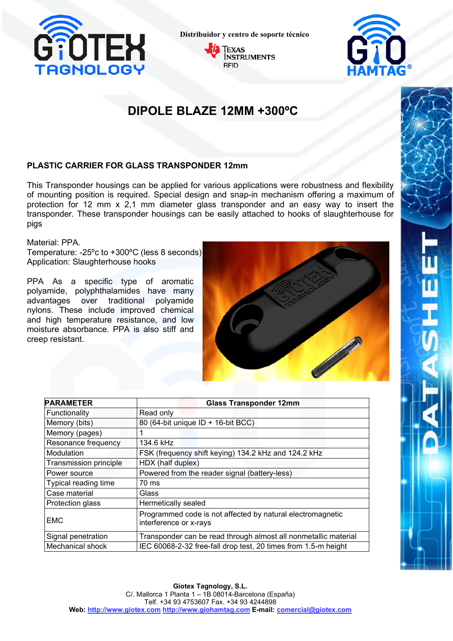

**Distribuidor y centro de soporte técnico**





## **DIPOLE BLAZE 12MM +300ºC**

#### **PLASTIC CARRIER FOR GLASS TRANSPONDER 12mm**

This Transponder housings can be applied for various applications were robustness and flexibility of mounting position is required. Special design and snap-in mechanism offering a maximum of protection for 12 mm x 2,1 mm diameter glass transponder and an easy way to insert the transponder. These transponder housings can be easily attached to hooks of slaughterhouse for pigs

Material: PPA.

Temperature: -25ºc to +300ºC (less 8 seconds) Application: Slaughterhouse hooks

PPA As a specific type of aromatic polyamide, polyphthalamides have many advantages over traditional polyamide nylons. These include improved chemical and high temperature resistance, and low moisture absorbance. PPA is also stiff and creep resistant.



| <b>PARAMETER</b>       | <b>Glass Transponder 12mm</b>                                                        |
|------------------------|--------------------------------------------------------------------------------------|
| Functionality          | Read only                                                                            |
| Memory (bits)          | 80 (64-bit unique ID + 16-bit BCC)                                                   |
| Memory (pages)         |                                                                                      |
| Resonance frequency    | 134.6 kHz                                                                            |
| Modulation             | FSK (frequency shift keying) 134.2 kHz and 124.2 kHz                                 |
| Transmission principle | HDX (half duplex)                                                                    |
| Power source           | Powered from the reader signal (battery-less)                                        |
| Typical reading time   | 70 ms                                                                                |
| Case material          | Glass                                                                                |
| Protection glass       | Hermetically sealed                                                                  |
| <b>EMC</b>             | Programmed code is not affected by natural electromagnetic<br>interference or x-rays |
| Signal penetration     | Transponder can be read through almost all nonmetallic material                      |
| Mechanical shock       | IEC 60068-2-32 free-fall drop test, 20 times from 1.5-m height                       |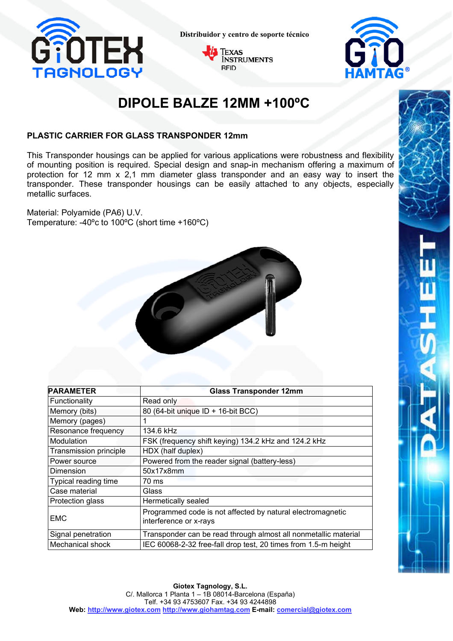

**Distribuidor y centro de soporte técnico**





# **DIPOLE BALZE 12MM +100ºC**

#### **PLASTIC CARRIER FOR GLASS TRANSPONDER 12mm**

This Transponder housings can be applied for various applications were robustness and flexibility of mounting position is required. Special design and snap-in mechanism offering a maximum of protection for 12 mm x 2,1 mm diameter glass transponder and an easy way to insert the transponder. These transponder housings can be easily attached to any objects, especially metallic surfaces.

Material: Polyamide (PA6) U.V. Temperature: -40ºc to 100ºC (short time +160ºC)



| <b>PARAMETER</b>       | <b>Glass Transponder 12mm</b>                                                        |
|------------------------|--------------------------------------------------------------------------------------|
| Functionality          | Read only                                                                            |
| Memory (bits)          | 80 (64-bit unique ID + 16-bit BCC)                                                   |
| Memory (pages)         |                                                                                      |
| Resonance frequency    | 134.6 kHz                                                                            |
| Modulation             | FSK (frequency shift keying) 134.2 kHz and 124.2 kHz                                 |
| Transmission principle | HDX (half duplex)                                                                    |
| Power source           | Powered from the reader signal (battery-less)                                        |
| Dimension              | 50x17x8mm                                                                            |
| Typical reading time   | 70 ms                                                                                |
| Case material          | Glass                                                                                |
| Protection glass       | Hermetically sealed                                                                  |
| <b>EMC</b>             | Programmed code is not affected by natural electromagnetic<br>interference or x-rays |
| Signal penetration     | Transponder can be read through almost all nonmetallic material                      |
| Mechanical shock       | IEC 60068-2-32 free-fall drop test, 20 times from 1.5-m height                       |